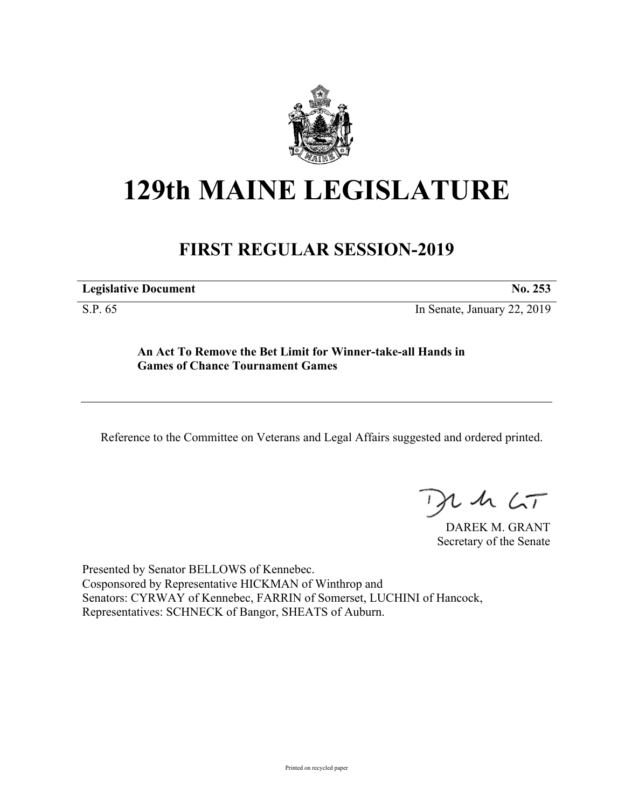

## **129th MAINE LEGISLATURE**

## **FIRST REGULAR SESSION-2019**

**Legislative Document No. 253**

S.P. 65 In Senate, January 22, 2019

**An Act To Remove the Bet Limit for Winner-take-all Hands in Games of Chance Tournament Games**

Reference to the Committee on Veterans and Legal Affairs suggested and ordered printed.

 $425$ 

DAREK M. GRANT Secretary of the Senate

Presented by Senator BELLOWS of Kennebec. Cosponsored by Representative HICKMAN of Winthrop and Senators: CYRWAY of Kennebec, FARRIN of Somerset, LUCHINI of Hancock, Representatives: SCHNECK of Bangor, SHEATS of Auburn.